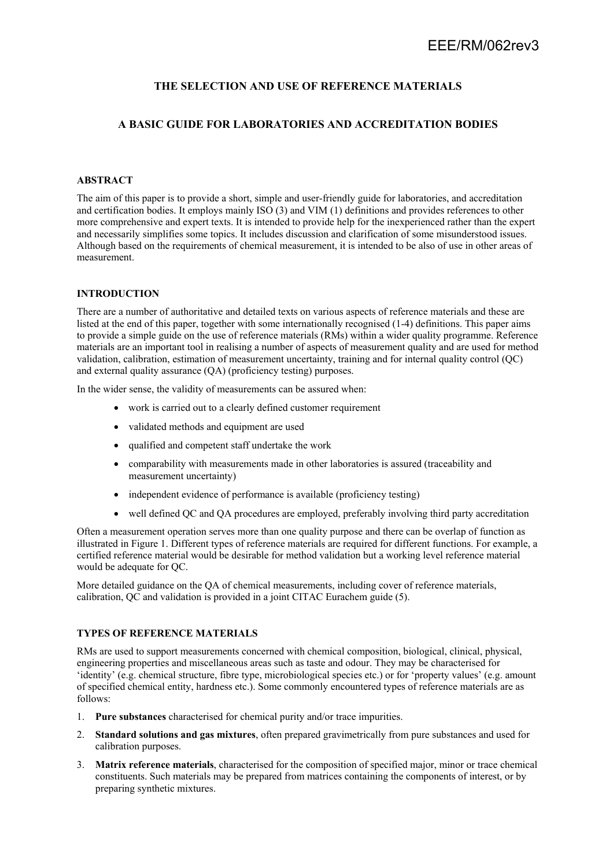# **THE SELECTION AND USE OF REFERENCE MATERIALS**

## **A BASIC GUIDE FOR LABORATORIES AND ACCREDITATION BODIES**

## **ABSTRACT**

The aim of this paper is to provide a short, simple and user-friendly guide for laboratories, and accreditation and certification bodies. It employs mainly ISO (3) and VIM (1) definitions and provides references to other more comprehensive and expert texts. It is intended to provide help for the inexperienced rather than the expert and necessarily simplifies some topics. It includes discussion and clarification of some misunderstood issues. Although based on the requirements of chemical measurement, it is intended to be also of use in other areas of measurement.

#### **INTRODUCTION**

There are a number of authoritative and detailed texts on various aspects of reference materials and these are listed at the end of this paper, together with some internationally recognised (1-4) definitions. This paper aims to provide a simple guide on the use of reference materials (RMs) within a wider quality programme. Reference materials are an important tool in realising a number of aspects of measurement quality and are used for method validation, calibration, estimation of measurement uncertainty, training and for internal quality control (QC) and external quality assurance (QA) (proficiency testing) purposes.

In the wider sense, the validity of measurements can be assured when:

- work is carried out to a clearly defined customer requirement
- validated methods and equipment are used
- qualified and competent staff undertake the work
- comparability with measurements made in other laboratories is assured (traceability and measurement uncertainty)
- independent evidence of performance is available (proficiency testing)
- well defined QC and QA procedures are employed, preferably involving third party accreditation

Often a measurement operation serves more than one quality purpose and there can be overlap of function as illustrated in Figure 1. Different types of reference materials are required for different functions. For example, a certified reference material would be desirable for method validation but a working level reference material would be adequate for QC.

More detailed guidance on the QA of chemical measurements, including cover of reference materials, calibration, QC and validation is provided in a joint CITAC Eurachem guide (5).

## **TYPES OF REFERENCE MATERIALS**

RMs are used to support measurements concerned with chemical composition, biological, clinical, physical, engineering properties and miscellaneous areas such as taste and odour. They may be characterised for 'identity' (e.g. chemical structure, fibre type, microbiological species etc.) or for 'property values' (e.g. amount of specified chemical entity, hardness etc.). Some commonly encountered types of reference materials are as follows:

- 1. **Pure substances** characterised for chemical purity and/or trace impurities.
- 2. **Standard solutions and gas mixtures**, often prepared gravimetrically from pure substances and used for calibration purposes.
- 3. **Matrix reference materials**, characterised for the composition of specified major, minor or trace chemical constituents. Such materials may be prepared from matrices containing the components of interest, or by preparing synthetic mixtures.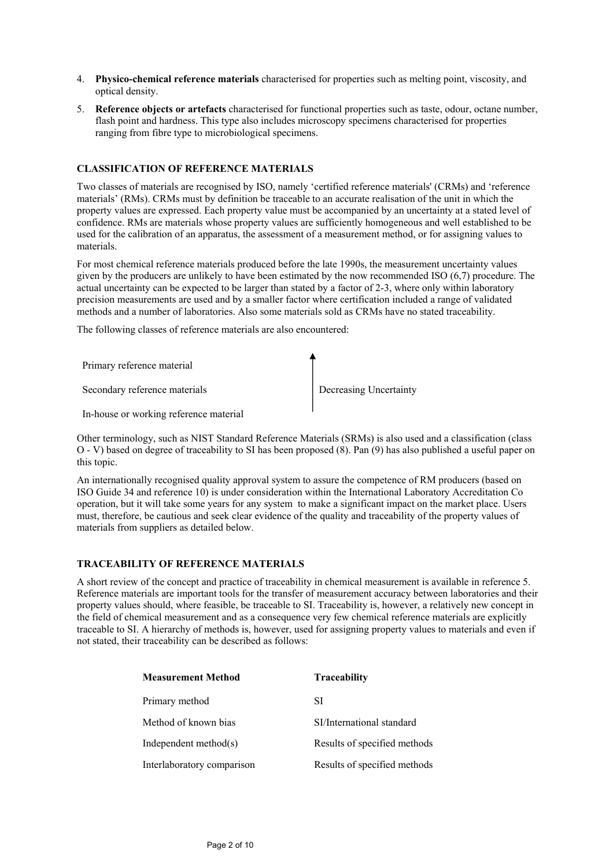- 4. **Physico-chemical reference materials** characterised for properties such as melting point, viscosity, and optical density.
- 5. **Reference objects or artefacts** characterised for functional properties such as taste, odour, octane number, flash point and hardness. This type also includes microscopy specimens characterised for properties ranging from fibre type to microbiological specimens.

## **CLASSIFICATION OF REFERENCE MATERIALS**

Two classes of materials are recognised by ISO, namely 'certified reference materials' (CRMs) and 'reference materials' (RMs). CRMs must by definition be traceable to an accurate realisation of the unit in which the property values are expressed. Each property value must be accompanied by an uncertainty at a stated level of confidence. RMs are materials whose property values are sufficiently homogeneous and well established to be used for the calibration of an apparatus, the assessment of a measurement method, or for assigning values to materials.

For most chemical reference materials produced before the late 1990s, the measurement uncertainty values given by the producers are unlikely to have been estimated by the now recommended ISO  $(6,7)$  procedure. The actual uncertainty can be expected to be larger than stated by a factor of 2-3, where only within laboratory precision measurements are used and by a smaller factor where certification included a range of validated methods and a number of laboratories. Also some materials sold as CRMs have no stated traceability.

The following classes of reference materials are also encountered:

| Primary reference material    |                        |
|-------------------------------|------------------------|
| Secondary reference materials | Decreasing Uncertainty |
| T 1 1 1 0 1 1 1 1 1           |                        |

In-house or working reference material

Other terminology, such as NIST Standard Reference Materials (SRMs) is also used and a classification (class O - V) based on degree of traceability to SI has been proposed (8). Pan (9) has also published a useful paper on this topic.

An internationally recognised quality approval system to assure the competence of RM producers (based on ISO Guide 34 and reference 10) is under consideration within the International Laboratory Accreditation Co operation, but it will take some years for any system to make a significant impact on the market place. Users must, therefore, be cautious and seek clear evidence of the quality and traceability of the property values of materials from suppliers as detailed below.

## **TRACEABILITY OF REFERENCE MATERIALS**

A short review of the concept and practice of traceability in chemical measurement is available in reference 5. Reference materials are important tools for the transfer of measurement accuracy between laboratories and their property values should, where feasible, be traceable to SI. Traceability is, however, a relatively new concept in the field of chemical measurement and as a consequence very few chemical reference materials are explicitly traceable to SI. A hierarchy of methods is, however, used for assigning property values to materials and even if not stated, their traceability can be described as follows:

| <b>Measurement Method</b>  | <b>Traceability</b>          |
|----------------------------|------------------------------|
| Primary method             | SI                           |
| Method of known bias       | SI/International standard    |
| Independent method( $s$ )  | Results of specified methods |
| Interlaboratory comparison | Results of specified methods |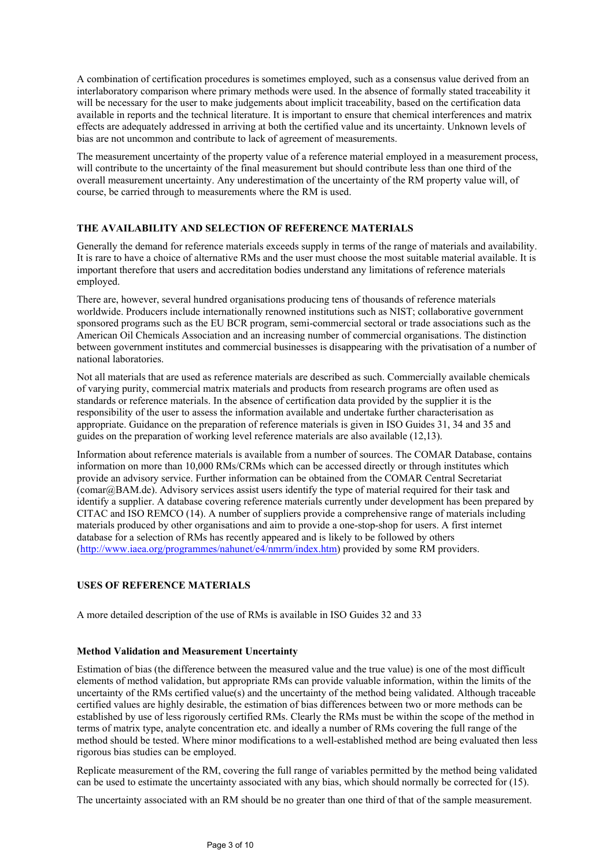A combination of certification procedures is sometimes employed, such as a consensus value derived from an interlaboratory comparison where primary methods were used. In the absence of formally stated traceability it will be necessary for the user to make judgements about implicit traceability, based on the certification data available in reports and the technical literature. It is important to ensure that chemical interferences and matrix effects are adequately addressed in arriving at both the certified value and its uncertainty. Unknown levels of bias are not uncommon and contribute to lack of agreement of measurements.

The measurement uncertainty of the property value of a reference material employed in a measurement process, will contribute to the uncertainty of the final measurement but should contribute less than one third of the overall measurement uncertainty. Any underestimation of the uncertainty of the RM property value will, of course, be carried through to measurements where the RM is used.

## **THE AVAILABILITY AND SELECTION OF REFERENCE MATERIALS**

Generally the demand for reference materials exceeds supply in terms of the range of materials and availability. It is rare to have a choice of alternative RMs and the user must choose the most suitable material available. It is important therefore that users and accreditation bodies understand any limitations of reference materials employed.

There are, however, several hundred organisations producing tens of thousands of reference materials worldwide. Producers include internationally renowned institutions such as NIST; collaborative government sponsored programs such as the EU BCR program, semi-commercial sectoral or trade associations such as the American Oil Chemicals Association and an increasing number of commercial organisations. The distinction between government institutes and commercial businesses is disappearing with the privatisation of a number of national laboratories.

Not all materials that are used as reference materials are described as such. Commercially available chemicals of varying purity, commercial matrix materials and products from research programs are often used as standards or reference materials. In the absence of certification data provided by the supplier it is the responsibility of the user to assess the information available and undertake further characterisation as appropriate. Guidance on the preparation of reference materials is given in ISO Guides 31, 34 and 35 and guides on the preparation of working level reference materials are also available (12,13).

Information about reference materials is available from a number of sources. The COMAR Database, contains information on more than 10,000 RMs/CRMs which can be accessed directly or through institutes which provide an advisory service. Further information can be obtained from the COMAR Central Secretariat (comar@BAM.de). Advisory services assist users identify the type of material required for their task and identify a supplier. A database covering reference materials currently under development has been prepared by CITAC and ISO REMCO (14). A number of suppliers provide a comprehensive range of materials including materials produced by other organisations and aim to provide a one-stop-shop for users. A first internet database for a selection of RMs has recently appeared and is likely to be followed by others (http://www.iaea.org/programmes/nahunet/e4/nmrm/index.htm) provided by some RM providers.

## **USES OF REFERENCE MATERIALS**

A more detailed description of the use of RMs is available in ISO Guides 32 and 33

#### **Method Validation and Measurement Uncertainty**

Estimation of bias (the difference between the measured value and the true value) is one of the most difficult elements of method validation, but appropriate RMs can provide valuable information, within the limits of the uncertainty of the RMs certified value(s) and the uncertainty of the method being validated. Although traceable certified values are highly desirable, the estimation of bias differences between two or more methods can be established by use of less rigorously certified RMs. Clearly the RMs must be within the scope of the method in terms of matrix type, analyte concentration etc. and ideally a number of RMs covering the full range of the method should be tested. Where minor modifications to a well-established method are being evaluated then less rigorous bias studies can be employed.

Replicate measurement of the RM, covering the full range of variables permitted by the method being validated can be used to estimate the uncertainty associated with any bias, which should normally be corrected for (15).

The uncertainty associated with an RM should be no greater than one third of that of the sample measurement.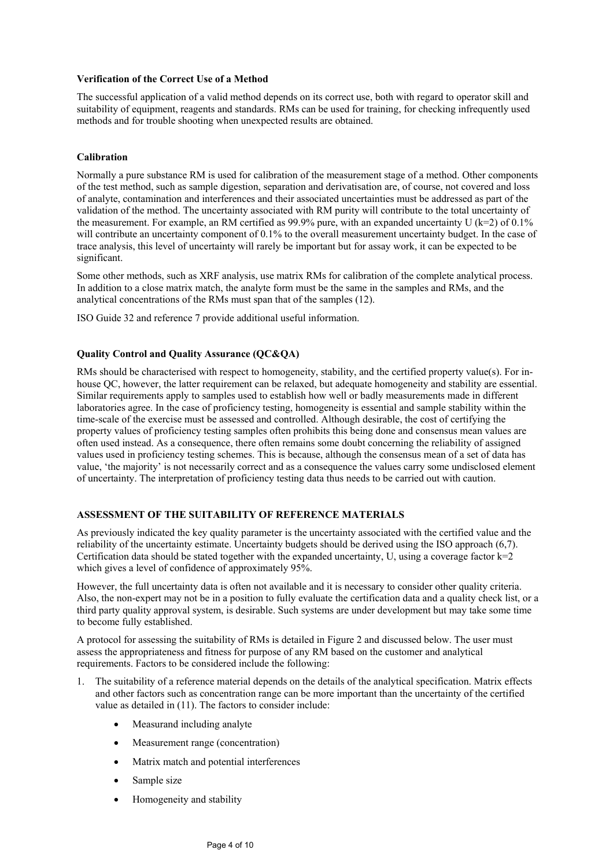#### **Verification of the Correct Use of a Method**

The successful application of a valid method depends on its correct use, both with regard to operator skill and suitability of equipment, reagents and standards. RMs can be used for training, for checking infrequently used methods and for trouble shooting when unexpected results are obtained.

#### **Calibration**

Normally a pure substance RM is used for calibration of the measurement stage of a method. Other components of the test method, such as sample digestion, separation and derivatisation are, of course, not covered and loss of analyte, contamination and interferences and their associated uncertainties must be addressed as part of the validation of the method. The uncertainty associated with RM purity will contribute to the total uncertainty of the measurement. For example, an RM certified as 99.9% pure, with an expanded uncertainty U (k=2) of 0.1% will contribute an uncertainty component of 0.1% to the overall measurement uncertainty budget. In the case of trace analysis, this level of uncertainty will rarely be important but for assay work, it can be expected to be significant.

Some other methods, such as XRF analysis, use matrix RMs for calibration of the complete analytical process. In addition to a close matrix match, the analyte form must be the same in the samples and RMs, and the analytical concentrations of the RMs must span that of the samples (12).

ISO Guide 32 and reference 7 provide additional useful information.

## **Quality Control and Quality Assurance (QC&QA)**

RMs should be characterised with respect to homogeneity, stability, and the certified property value(s). For inhouse QC, however, the latter requirement can be relaxed, but adequate homogeneity and stability are essential. Similar requirements apply to samples used to establish how well or badly measurements made in different laboratories agree. In the case of proficiency testing, homogeneity is essential and sample stability within the time-scale of the exercise must be assessed and controlled. Although desirable, the cost of certifying the property values of proficiency testing samples often prohibits this being done and consensus mean values are often used instead. As a consequence, there often remains some doubt concerning the reliability of assigned values used in proficiency testing schemes. This is because, although the consensus mean of a set of data has value, 'the majority' is not necessarily correct and as a consequence the values carry some undisclosed element of uncertainty. The interpretation of proficiency testing data thus needs to be carried out with caution.

## **ASSESSMENT OF THE SUITABILITY OF REFERENCE MATERIALS**

As previously indicated the key quality parameter is the uncertainty associated with the certified value and the reliability of the uncertainty estimate. Uncertainty budgets should be derived using the ISO approach (6,7). Certification data should be stated together with the expanded uncertainty, U, using a coverage factor  $k=2$ which gives a level of confidence of approximately 95%.

However, the full uncertainty data is often not available and it is necessary to consider other quality criteria. Also, the non-expert may not be in a position to fully evaluate the certification data and a quality check list, or a third party quality approval system, is desirable. Such systems are under development but may take some time to become fully established.

A protocol for assessing the suitability of RMs is detailed in Figure 2 and discussed below. The user must assess the appropriateness and fitness for purpose of any RM based on the customer and analytical requirements. Factors to be considered include the following:

- 1. The suitability of a reference material depends on the details of the analytical specification. Matrix effects and other factors such as concentration range can be more important than the uncertainty of the certified value as detailed in (11). The factors to consider include:
	- Measurand including analyte
	- Measurement range (concentration)
	- Matrix match and potential interferences
	- Sample size
	- Homogeneity and stability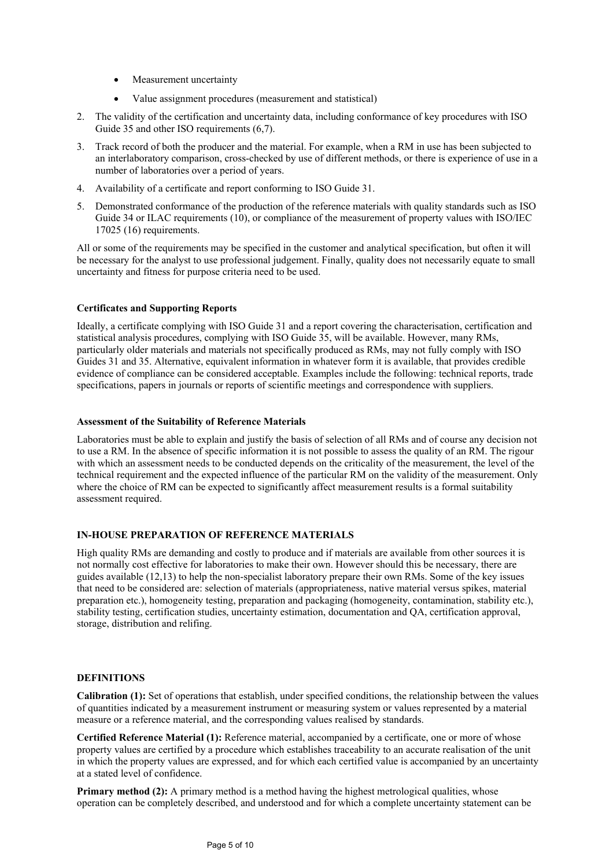- Measurement uncertainty
- Value assignment procedures (measurement and statistical)
- 2. The validity of the certification and uncertainty data, including conformance of key procedures with ISO Guide 35 and other ISO requirements  $(6,7)$ .
- 3. Track record of both the producer and the material. For example, when a RM in use has been subjected to an interlaboratory comparison, cross-checked by use of different methods, or there is experience of use in a number of laboratories over a period of years.
- 4. Availability of a certificate and report conforming to ISO Guide 31.
- 5. Demonstrated conformance of the production of the reference materials with quality standards such as ISO Guide 34 or ILAC requirements (10), or compliance of the measurement of property values with ISO/IEC 17025 (16) requirements.

All or some of the requirements may be specified in the customer and analytical specification, but often it will be necessary for the analyst to use professional judgement. Finally, quality does not necessarily equate to small uncertainty and fitness for purpose criteria need to be used.

#### **Certificates and Supporting Reports**

Ideally, a certificate complying with ISO Guide 31 and a report covering the characterisation, certification and statistical analysis procedures, complying with ISO Guide 35, will be available. However, many RMs, particularly older materials and materials not specifically produced as RMs, may not fully comply with ISO Guides 31 and 35. Alternative, equivalent information in whatever form it is available, that provides credible evidence of compliance can be considered acceptable. Examples include the following: technical reports, trade specifications, papers in journals or reports of scientific meetings and correspondence with suppliers.

#### **Assessment of the Suitability of Reference Materials**

Laboratories must be able to explain and justify the basis of selection of all RMs and of course any decision not to use a RM. In the absence of specific information it is not possible to assess the quality of an RM. The rigour with which an assessment needs to be conducted depends on the criticality of the measurement, the level of the technical requirement and the expected influence of the particular RM on the validity of the measurement. Only where the choice of RM can be expected to significantly affect measurement results is a formal suitability assessment required.

## **IN-HOUSE PREPARATION OF REFERENCE MATERIALS**

High quality RMs are demanding and costly to produce and if materials are available from other sources it is not normally cost effective for laboratories to make their own. However should this be necessary, there are guides available (12,13) to help the non-specialist laboratory prepare their own RMs. Some of the key issues that need to be considered are: selection of materials (appropriateness, native material versus spikes, material preparation etc.), homogeneity testing, preparation and packaging (homogeneity, contamination, stability etc.), stability testing, certification studies, uncertainty estimation, documentation and QA, certification approval, storage, distribution and relifing.

#### **DEFINITIONS**

**Calibration (1):** Set of operations that establish, under specified conditions, the relationship between the values of quantities indicated by a measurement instrument or measuring system or values represented by a material measure or a reference material, and the corresponding values realised by standards.

**Certified Reference Material (1):** Reference material, accompanied by a certificate, one or more of whose property values are certified by a procedure which establishes traceability to an accurate realisation of the unit in which the property values are expressed, and for which each certified value is accompanied by an uncertainty at a stated level of confidence.

**Primary method (2):** A primary method is a method having the highest metrological qualities, whose operation can be completely described, and understood and for which a complete uncertainty statement can be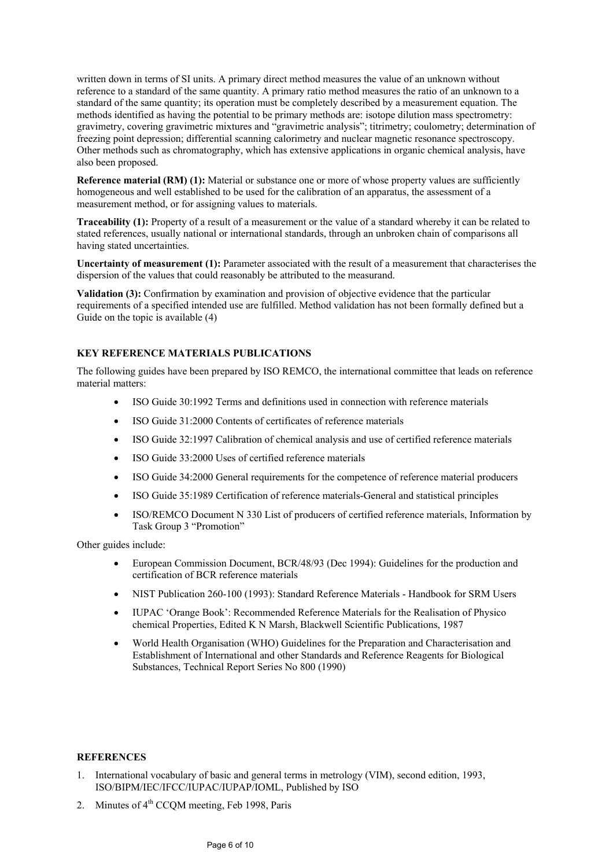written down in terms of SI units. A primary direct method measures the value of an unknown without reference to a standard of the same quantity. A primary ratio method measures the ratio of an unknown to a standard of the same quantity; its operation must be completely described by a measurement equation. The methods identified as having the potential to be primary methods are: isotope dilution mass spectrometry: gravimetry, covering gravimetric mixtures and "gravimetric analysis"; titrimetry; coulometry; determination of freezing point depression; differential scanning calorimetry and nuclear magnetic resonance spectroscopy. Other methods such as chromatography, which has extensive applications in organic chemical analysis, have also been proposed.

**Reference material (RM) (1):** Material or substance one or more of whose property values are sufficiently homogeneous and well established to be used for the calibration of an apparatus, the assessment of a measurement method, or for assigning values to materials.

**Traceability (1):** Property of a result of a measurement or the value of a standard whereby it can be related to stated references, usually national or international standards, through an unbroken chain of comparisons all having stated uncertainties.

**Uncertainty of measurement (1):** Parameter associated with the result of a measurement that characterises the dispersion of the values that could reasonably be attributed to the measurand.

**Validation (3):** Confirmation by examination and provision of objective evidence that the particular requirements of a specified intended use are fulfilled. Method validation has not been formally defined but a Guide on the topic is available (4)

## **KEY REFERENCE MATERIALS PUBLICATIONS**

The following guides have been prepared by ISO REMCO, the international committee that leads on reference material matters:

- ISO Guide 30:1992 Terms and definitions used in connection with reference materials
- ISO Guide 31:2000 Contents of certificates of reference materials
- ISO Guide 32:1997 Calibration of chemical analysis and use of certified reference materials
- ISO Guide 33:2000 Uses of certified reference materials
- ISO Guide 34:2000 General requirements for the competence of reference material producers
- ISO Guide 35:1989 Certification of reference materials-General and statistical principles
- ISO/REMCO Document N 330 List of producers of certified reference materials, Information by Task Group 3 "Promotion"

Other guides include:

- European Commission Document, BCR/48/93 (Dec 1994): Guidelines for the production and certification of BCR reference materials
- NIST Publication 260-100 (1993): Standard Reference Materials Handbook for SRM Users
- IUPAC 'Orange Book': Recommended Reference Materials for the Realisation of Physico chemical Properties, Edited K N Marsh, Blackwell Scientific Publications, 1987
- World Health Organisation (WHO) Guidelines for the Preparation and Characterisation and Establishment of International and other Standards and Reference Reagents for Biological Substances, Technical Report Series No 800 (1990)

## **REFERENCES**

- 1. International vocabulary of basic and general terms in metrology (VIM), second edition, 1993, ISO/BIPM/IEC/IFCC/IUPAC/IUPAP/IOML, Published by ISO
- 2. Minutes of  $4<sup>th</sup> CCQM meeting, Feb 1998, Paris$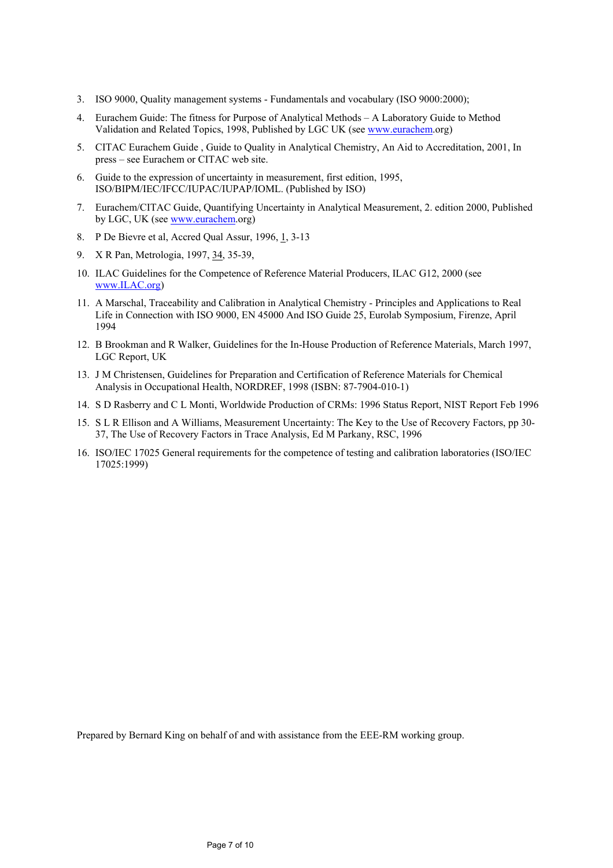- 3. ISO 9000, Quality management systems Fundamentals and vocabulary (ISO 9000:2000);
- 4. Eurachem Guide: The fitness for Purpose of Analytical Methods A Laboratory Guide to Method Validation and Related Topics, 1998, Published by LGC UK (see www.eurachem.org)
- 5. CITAC Eurachem Guide , Guide to Quality in Analytical Chemistry, An Aid to Accreditation, 2001, In press – see Eurachem or CITAC web site.
- 6. Guide to the expression of uncertainty in measurement, first edition, 1995, ISO/BIPM/IEC/IFCC/IUPAC/IUPAP/IOML. (Published by ISO)
- 7. Eurachem/CITAC Guide, Quantifying Uncertainty in Analytical Measurement, 2. edition 2000, Published by LGC, UK (see www.eurachem.org)
- 8. P De Bievre et al, Accred Qual Assur, 1996, 1, 3-13
- 9. X R Pan, Metrologia, 1997, 34, 35-39,
- 10. ILAC Guidelines for the Competence of Reference Material Producers, ILAC G12, 2000 (see www.ILAC.org)
- 11. A Marschal, Traceability and Calibration in Analytical Chemistry Principles and Applications to Real Life in Connection with ISO 9000, EN 45000 And ISO Guide 25, Eurolab Symposium, Firenze, April 1994
- 12. B Brookman and R Walker, Guidelines for the In-House Production of Reference Materials, March 1997, LGC Report, UK
- 13. J M Christensen, Guidelines for Preparation and Certification of Reference Materials for Chemical Analysis in Occupational Health, NORDREF, 1998 (ISBN: 87-7904-010-1)
- 14. S D Rasberry and C L Monti, Worldwide Production of CRMs: 1996 Status Report, NIST Report Feb 1996
- 15. S L R Ellison and A Williams, Measurement Uncertainty: The Key to the Use of Recovery Factors, pp 30- 37, The Use of Recovery Factors in Trace Analysis, Ed M Parkany, RSC, 1996
- 16. ISO/IEC 17025 General requirements for the competence of testing and calibration laboratories (ISO/IEC 17025:1999)

Prepared by Bernard King on behalf of and with assistance from the EEE-RM working group.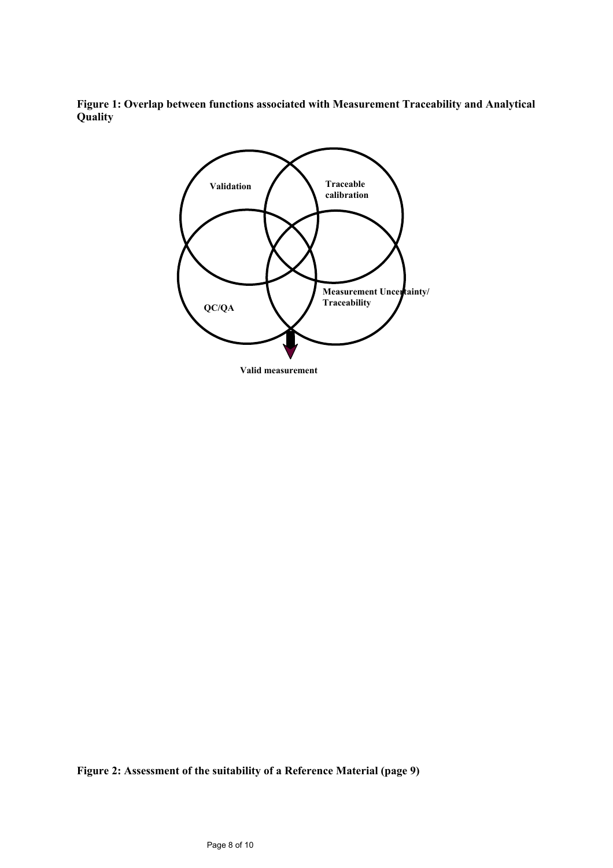**Figure 1: Overlap between functions associated with Measurement Traceability and Analytical Quality** 



**Figure 2: Assessment of the suitability of a Reference Material (page 9)**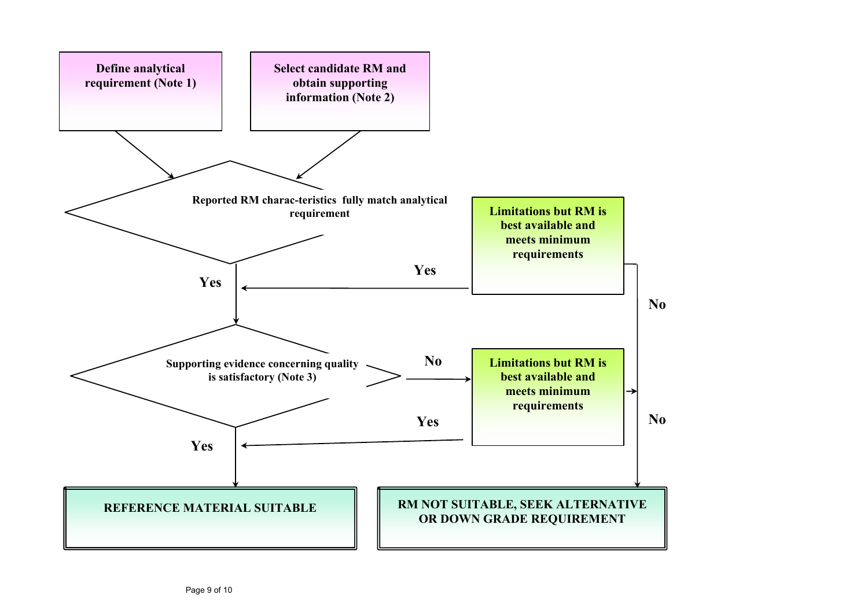